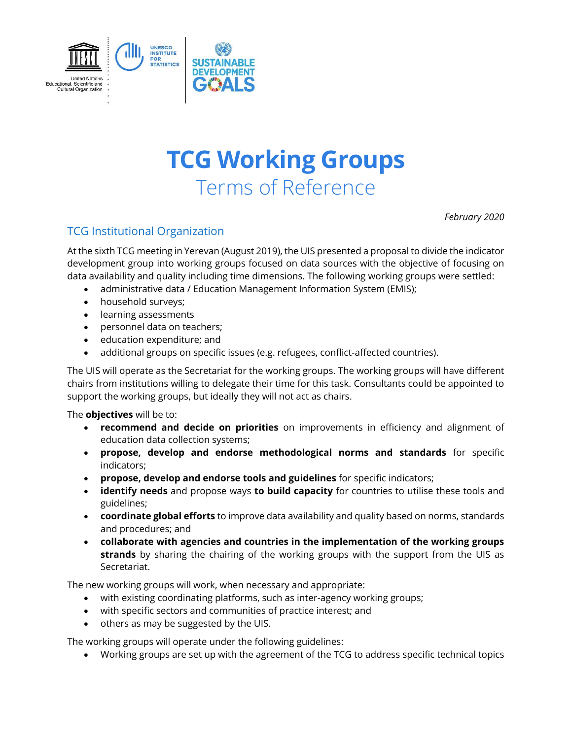

# **TCG Working Groups** Terms of Reference

*February 2020*

## TCG Institutional Organization

At the sixth TCG meeting in Yerevan (August 2019), the UIS presented a proposal to divide the indicator development group into working groups focused on data sources with the objective of focusing on data availability and quality including time dimensions. The following working groups were settled:

- administrative data / Education Management Information System (EMIS);
- household surveys;
- learning assessments
- personnel data on teachers;
- education expenditure; and
- additional groups on specific issues (e.g. refugees, conflict-affected countries).

The UIS will operate as the Secretariat for the working groups. The working groups will have different chairs from institutions willing to delegate their time for this task. Consultants could be appointed to support the working groups, but ideally they will not act as chairs.

The **objectives** will be to:

- **recommend and decide on priorities** on improvements in efficiency and alignment of education data collection systems;
- **propose, develop and endorse methodological norms and standards** for specific indicators;
- **propose, develop and endorse tools and guidelines** for specific indicators;
- **identify needs** and propose ways **to build capacity** for countries to utilise these tools and guidelines;
- **coordinate global efforts** to improve data availability and quality based on norms, standards and procedures; and
- **collaborate with agencies and countries in the implementation of the working groups strands** by sharing the chairing of the working groups with the support from the UIS as Secretariat.

The new working groups will work, when necessary and appropriate:

- with existing coordinating platforms, such as inter-agency working groups;
- with specific sectors and communities of practice interest; and
- others as may be suggested by the UIS.

The working groups will operate under the following guidelines:

Working groups are set up with the agreement of the TCG to address specific technical topics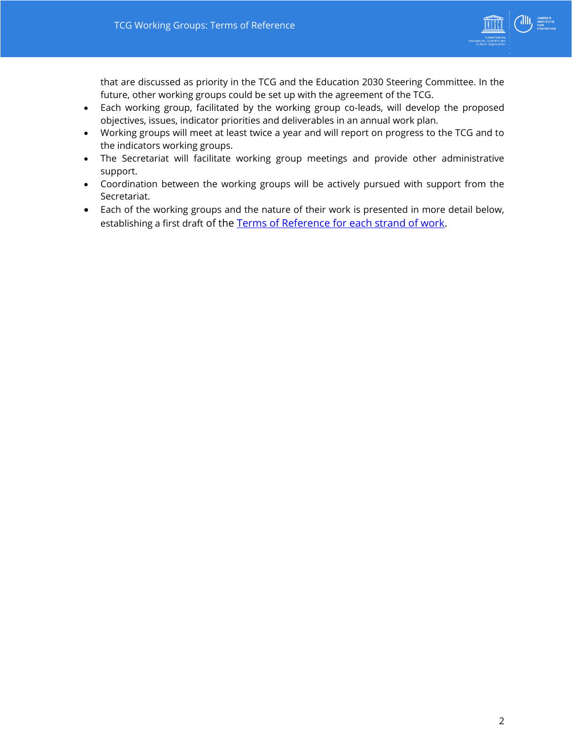

that are discussed as priority in the TCG and the Education 2030 Steering Committee. In the future, other working groups could be set up with the agreement of the TCG.

- Each working group, facilitated by the working group co-leads, will develop the proposed objectives, issues, indicator priorities and deliverables in an annual work plan.
- Working groups will meet at least twice a year and will report on progress to the TCG and to the indicators working groups.
- The Secretariat will facilitate working group meetings and provide other administrative support.
- Coordination between the working groups will be actively pursued with support from the Secretariat.
- Each of the working groups and the nature of their work is presented in more detail below, establishing a first draft of the [Terms of Reference for each strand of work.](http://tcg.uis.unesco.org/wp-content/uploads/sites/4/2019/11/Post-TCG6-Report-Final.pdf)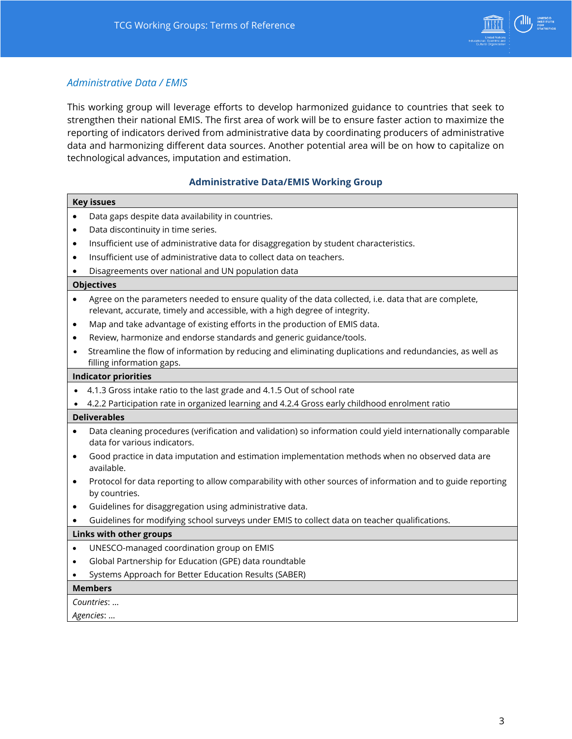

## *Administrative Data / EMIS*

This working group will leverage efforts to develop harmonized guidance to countries that seek to strengthen their national EMIS. The first area of work will be to ensure faster action to maximize the reporting of indicators derived from administrative data by coordinating producers of administrative data and harmonizing different data sources. Another potential area will be on how to capitalize on technological advances, imputation and estimation.

#### **Administrative Data/EMIS Working Group**

| <b>Key issues</b>                                                                                                                                                                                |  |  |
|--------------------------------------------------------------------------------------------------------------------------------------------------------------------------------------------------|--|--|
| Data gaps despite data availability in countries.                                                                                                                                                |  |  |
| Data discontinuity in time series.<br>$\bullet$                                                                                                                                                  |  |  |
| Insufficient use of administrative data for disaggregation by student characteristics.<br>$\bullet$                                                                                              |  |  |
| Insufficient use of administrative data to collect data on teachers.<br>$\bullet$                                                                                                                |  |  |
| Disagreements over national and UN population data                                                                                                                                               |  |  |
| <b>Objectives</b>                                                                                                                                                                                |  |  |
| Agree on the parameters needed to ensure quality of the data collected, i.e. data that are complete,<br>$\bullet$<br>relevant, accurate, timely and accessible, with a high degree of integrity. |  |  |
| Map and take advantage of existing efforts in the production of EMIS data.<br>$\bullet$                                                                                                          |  |  |
| Review, harmonize and endorse standards and generic guidance/tools.                                                                                                                              |  |  |
| Streamline the flow of information by reducing and eliminating duplications and redundancies, as well as<br>filling information gaps.                                                            |  |  |
| <b>Indicator priorities</b>                                                                                                                                                                      |  |  |
| 4.1.3 Gross intake ratio to the last grade and 4.1.5 Out of school rate                                                                                                                          |  |  |
| 4.2.2 Participation rate in organized learning and 4.2.4 Gross early childhood enrolment ratio                                                                                                   |  |  |
| <b>Deliverables</b>                                                                                                                                                                              |  |  |
| Data cleaning procedures (verification and validation) so information could yield internationally comparable<br>$\bullet$                                                                        |  |  |
| data for various indicators.                                                                                                                                                                     |  |  |
| Good practice in data imputation and estimation implementation methods when no observed data are<br>٠<br>available.                                                                              |  |  |
| Protocol for data reporting to allow comparability with other sources of information and to guide reporting<br>$\bullet$<br>by countries.                                                        |  |  |
| Guidelines for disaggregation using administrative data.<br>$\bullet$                                                                                                                            |  |  |
| Guidelines for modifying school surveys under EMIS to collect data on teacher qualifications.<br>$\bullet$                                                                                       |  |  |
| Links with other groups                                                                                                                                                                          |  |  |
| UNESCO-managed coordination group on EMIS<br>$\bullet$                                                                                                                                           |  |  |
| Global Partnership for Education (GPE) data roundtable<br>$\bullet$                                                                                                                              |  |  |
| Systems Approach for Better Education Results (SABER)                                                                                                                                            |  |  |
| <b>Members</b>                                                                                                                                                                                   |  |  |
| Countries:                                                                                                                                                                                       |  |  |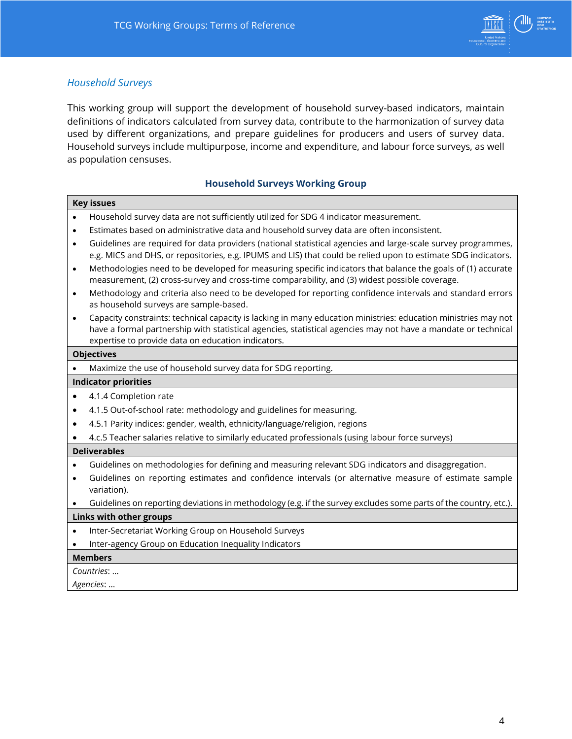

## *Household Surveys*

This working group will support the development of household survey-based indicators, maintain definitions of indicators calculated from survey data, contribute to the harmonization of survey data used by different organizations, and prepare guidelines for producers and users of survey data. Household surveys include multipurpose, income and expenditure, and labour force surveys, as well as population censuses.

#### **Household Surveys Working Group**

|                             | <b>Key issues</b>                                                                                                                                                                                                                                                                     |  |  |  |
|-----------------------------|---------------------------------------------------------------------------------------------------------------------------------------------------------------------------------------------------------------------------------------------------------------------------------------|--|--|--|
|                             | Household survey data are not sufficiently utilized for SDG 4 indicator measurement.                                                                                                                                                                                                  |  |  |  |
| $\bullet$                   | Estimates based on administrative data and household survey data are often inconsistent.                                                                                                                                                                                              |  |  |  |
| $\bullet$                   | Guidelines are required for data providers (national statistical agencies and large-scale survey programmes,<br>e.g. MICS and DHS, or repositories, e.g. IPUMS and LIS) that could be relied upon to estimate SDG indicators.                                                         |  |  |  |
| $\bullet$                   | Methodologies need to be developed for measuring specific indicators that balance the goals of (1) accurate<br>measurement, (2) cross-survey and cross-time comparability, and (3) widest possible coverage.                                                                          |  |  |  |
| $\bullet$                   | Methodology and criteria also need to be developed for reporting confidence intervals and standard errors<br>as household surveys are sample-based.                                                                                                                                   |  |  |  |
| $\bullet$                   | Capacity constraints: technical capacity is lacking in many education ministries: education ministries may not<br>have a formal partnership with statistical agencies, statistical agencies may not have a mandate or technical<br>expertise to provide data on education indicators. |  |  |  |
| <b>Objectives</b>           |                                                                                                                                                                                                                                                                                       |  |  |  |
|                             | Maximize the use of household survey data for SDG reporting.                                                                                                                                                                                                                          |  |  |  |
| <b>Indicator priorities</b> |                                                                                                                                                                                                                                                                                       |  |  |  |
| $\bullet$                   | 4.1.4 Completion rate                                                                                                                                                                                                                                                                 |  |  |  |
| $\bullet$                   | 4.1.5 Out-of-school rate: methodology and guidelines for measuring.                                                                                                                                                                                                                   |  |  |  |
| $\bullet$                   | 4.5.1 Parity indices: gender, wealth, ethnicity/language/religion, regions                                                                                                                                                                                                            |  |  |  |
|                             | 4.c.5 Teacher salaries relative to similarly educated professionals (using labour force surveys)                                                                                                                                                                                      |  |  |  |
| <b>Deliverables</b>         |                                                                                                                                                                                                                                                                                       |  |  |  |
| $\bullet$                   | Guidelines on methodologies for defining and measuring relevant SDG indicators and disaggregation.                                                                                                                                                                                    |  |  |  |
| $\bullet$                   | Guidelines on reporting estimates and confidence intervals (or alternative measure of estimate sample<br>variation).                                                                                                                                                                  |  |  |  |
|                             | Guidelines on reporting deviations in methodology (e.g. if the survey excludes some parts of the country, etc.).                                                                                                                                                                      |  |  |  |
| Links with other groups     |                                                                                                                                                                                                                                                                                       |  |  |  |
| $\bullet$                   | Inter-Secretariat Working Group on Household Surveys                                                                                                                                                                                                                                  |  |  |  |
|                             | Inter-agency Group on Education Inequality Indicators                                                                                                                                                                                                                                 |  |  |  |
|                             | <b>Members</b>                                                                                                                                                                                                                                                                        |  |  |  |
|                             | Countries:                                                                                                                                                                                                                                                                            |  |  |  |
|                             | Agencies:                                                                                                                                                                                                                                                                             |  |  |  |
|                             |                                                                                                                                                                                                                                                                                       |  |  |  |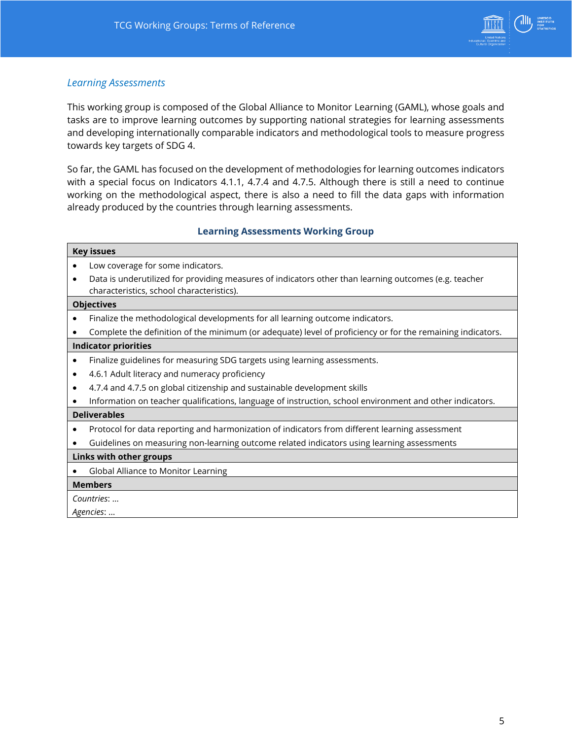

## *Learning Assessments*

This working group is composed of the Global Alliance to Monitor Learning [\(GAML\)](http://gaml.uis.unesco.org/), whose goals and tasks are to improve learning outcomes by supporting national strategies for learning assessments and developing internationally comparable indicators and methodological tools to measure progress towards key targets of SDG 4.

So far, the GAML has focused on the development of methodologies for learning outcomes indicators with a special focus on Indicators 4.1.1, 4.7.4 and 4.7.5. Although there is still a need to continue working on the methodological aspect, there is also a need to fill the data gaps with information already produced by the countries through learning assessments.

#### **Learning Assessments Working Group**

| <b>Key issues</b>                                                                                                                                               |  |  |  |
|-----------------------------------------------------------------------------------------------------------------------------------------------------------------|--|--|--|
| Low coverage for some indicators.                                                                                                                               |  |  |  |
| Data is underutilized for providing measures of indicators other than learning outcomes (e.g. teacher<br>$\bullet$<br>characteristics, school characteristics). |  |  |  |
| <b>Objectives</b>                                                                                                                                               |  |  |  |
| Finalize the methodological developments for all learning outcome indicators.<br>٠                                                                              |  |  |  |
| Complete the definition of the minimum (or adequate) level of proficiency or for the remaining indicators.                                                      |  |  |  |
| <b>Indicator priorities</b>                                                                                                                                     |  |  |  |
| Finalize guidelines for measuring SDG targets using learning assessments.<br>$\bullet$                                                                          |  |  |  |
| 4.6.1 Adult literacy and numeracy proficiency<br>$\bullet$                                                                                                      |  |  |  |
| 4.7.4 and 4.7.5 on global citizenship and sustainable development skills<br>٠                                                                                   |  |  |  |
| Information on teacher qualifications, language of instruction, school environment and other indicators.                                                        |  |  |  |
| <b>Deliverables</b>                                                                                                                                             |  |  |  |
| Protocol for data reporting and harmonization of indicators from different learning assessment<br>٠                                                             |  |  |  |
| Guidelines on measuring non-learning outcome related indicators using learning assessments<br>$\bullet$                                                         |  |  |  |
| Links with other groups                                                                                                                                         |  |  |  |
| Global Alliance to Monitor Learning<br>٠                                                                                                                        |  |  |  |
| <b>Members</b>                                                                                                                                                  |  |  |  |
| Countries:                                                                                                                                                      |  |  |  |
| Agencies:                                                                                                                                                       |  |  |  |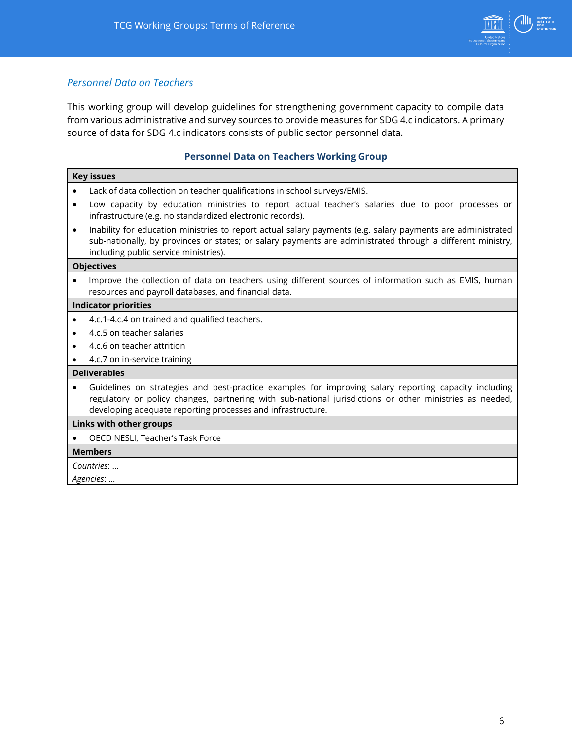

## *Personnel Data on Teachers*

This working group will develop guidelines for strengthening government capacity to compile data from various administrative and survey sources to provide measures for SDG 4.c indicators. A primary source of data for SDG 4.c indicators consists of public sector personnel data.

## **Personnel Data on Teachers Working Group**

| <b>Key issues</b>                                                                                                                                                                                                                                                               |  |  |
|---------------------------------------------------------------------------------------------------------------------------------------------------------------------------------------------------------------------------------------------------------------------------------|--|--|
| Lack of data collection on teacher qualifications in school surveys/EMIS.                                                                                                                                                                                                       |  |  |
| Low capacity by education ministries to report actual teacher's salaries due to poor processes or<br>infrastructure (e.g. no standardized electronic records).                                                                                                                  |  |  |
| Inability for education ministries to report actual salary payments (e.g. salary payments are administrated<br>sub-nationally, by provinces or states; or salary payments are administrated through a different ministry,<br>including public service ministries).              |  |  |
| <b>Objectives</b>                                                                                                                                                                                                                                                               |  |  |
| Improve the collection of data on teachers using different sources of information such as EMIS, human<br>resources and payroll databases, and financial data.                                                                                                                   |  |  |
| <b>Indicator priorities</b>                                                                                                                                                                                                                                                     |  |  |
| 4.c.1-4.c.4 on trained and qualified teachers.                                                                                                                                                                                                                                  |  |  |
| 4.c.5 on teacher salaries                                                                                                                                                                                                                                                       |  |  |
| 4.c.6 on teacher attrition                                                                                                                                                                                                                                                      |  |  |
| 4.c.7 on in-service training                                                                                                                                                                                                                                                    |  |  |
| <b>Deliverables</b>                                                                                                                                                                                                                                                             |  |  |
| Guidelines on strategies and best-practice examples for improving salary reporting capacity including<br>regulatory or policy changes, partnering with sub-national jurisdictions or other ministries as needed,<br>developing adequate reporting processes and infrastructure. |  |  |
| Links with other groups                                                                                                                                                                                                                                                         |  |  |
| OECD NESLI, Teacher's Task Force                                                                                                                                                                                                                                                |  |  |
| <b>Members</b>                                                                                                                                                                                                                                                                  |  |  |
| Countries:                                                                                                                                                                                                                                                                      |  |  |
| Agencies:                                                                                                                                                                                                                                                                       |  |  |
|                                                                                                                                                                                                                                                                                 |  |  |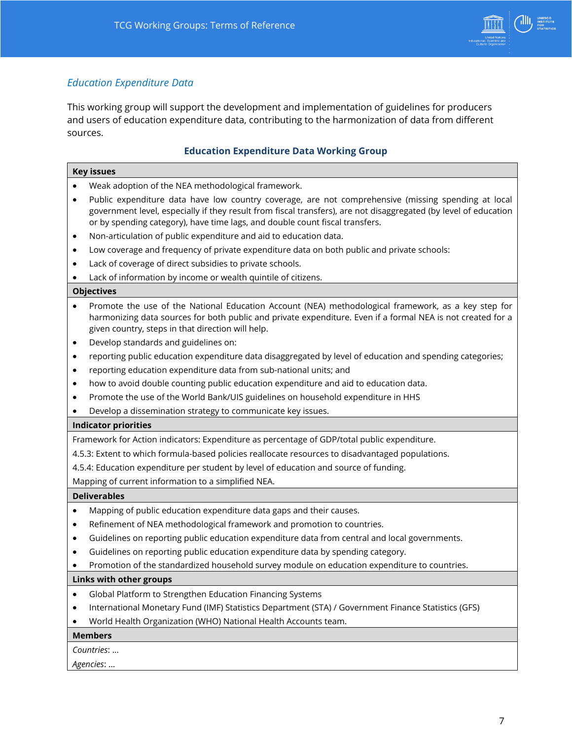

## *Education Expenditure Data*

This working group will support the development and implementation of guidelines for producers and users of education expenditure data, contributing to the harmonization of data from different sources.

## **Education Expenditure Data Working Group**

| <b>Key issues</b>                                                                                                                                                                                                                                                                                                    |  |  |
|----------------------------------------------------------------------------------------------------------------------------------------------------------------------------------------------------------------------------------------------------------------------------------------------------------------------|--|--|
| Weak adoption of the NEA methodological framework.                                                                                                                                                                                                                                                                   |  |  |
| Public expenditure data have low country coverage, are not comprehensive (missing spending at local<br>$\bullet$<br>government level, especially if they result from fiscal transfers), are not disaggregated (by level of education<br>or by spending category), have time lags, and double count fiscal transfers. |  |  |
| Non-articulation of public expenditure and aid to education data.<br>٠                                                                                                                                                                                                                                               |  |  |
| Low coverage and frequency of private expenditure data on both public and private schools:<br>$\bullet$                                                                                                                                                                                                              |  |  |
| Lack of coverage of direct subsidies to private schools.<br>٠                                                                                                                                                                                                                                                        |  |  |
| Lack of information by income or wealth quintile of citizens.                                                                                                                                                                                                                                                        |  |  |
| <b>Objectives</b>                                                                                                                                                                                                                                                                                                    |  |  |
| Promote the use of the National Education Account (NEA) methodological framework, as a key step for<br>harmonizing data sources for both public and private expenditure. Even if a formal NEA is not created for a<br>given country, steps in that direction will help.                                              |  |  |
| Develop standards and guidelines on:<br>٠                                                                                                                                                                                                                                                                            |  |  |
| reporting public education expenditure data disaggregated by level of education and spending categories;<br>$\bullet$                                                                                                                                                                                                |  |  |
| reporting education expenditure data from sub-national units; and<br>$\bullet$                                                                                                                                                                                                                                       |  |  |
| how to avoid double counting public education expenditure and aid to education data.<br>$\bullet$                                                                                                                                                                                                                    |  |  |
| Promote the use of the World Bank/UIS guidelines on household expenditure in HHS<br>$\bullet$                                                                                                                                                                                                                        |  |  |
| Develop a dissemination strategy to communicate key issues.                                                                                                                                                                                                                                                          |  |  |
| <b>Indicator priorities</b>                                                                                                                                                                                                                                                                                          |  |  |
| Framework for Action indicators: Expenditure as percentage of GDP/total public expenditure.                                                                                                                                                                                                                          |  |  |
| 4.5.3: Extent to which formula-based policies reallocate resources to disadvantaged populations.                                                                                                                                                                                                                     |  |  |
| 4.5.4: Education expenditure per student by level of education and source of funding.                                                                                                                                                                                                                                |  |  |
| Mapping of current information to a simplified NEA.                                                                                                                                                                                                                                                                  |  |  |
| <b>Deliverables</b>                                                                                                                                                                                                                                                                                                  |  |  |
| Mapping of public education expenditure data gaps and their causes.<br>$\bullet$                                                                                                                                                                                                                                     |  |  |
| Refinement of NEA methodological framework and promotion to countries.<br>$\bullet$                                                                                                                                                                                                                                  |  |  |
| Guidelines on reporting public education expenditure data from central and local governments.<br>$\bullet$                                                                                                                                                                                                           |  |  |
|                                                                                                                                                                                                                                                                                                                      |  |  |
| Guidelines on reporting public education expenditure data by spending category.<br>$\bullet$                                                                                                                                                                                                                         |  |  |
| Promotion of the standardized household survey module on education expenditure to countries.                                                                                                                                                                                                                         |  |  |
| Links with other groups                                                                                                                                                                                                                                                                                              |  |  |
| Global Platform to Strengthen Education Financing Systems<br>٠                                                                                                                                                                                                                                                       |  |  |
| International Monetary Fund (IMF) Statistics Department (STA) / Government Finance Statistics (GFS)<br>٠                                                                                                                                                                                                             |  |  |
| World Health Organization (WHO) National Health Accounts team.                                                                                                                                                                                                                                                       |  |  |
| <b>Members</b>                                                                                                                                                                                                                                                                                                       |  |  |
| Countries:                                                                                                                                                                                                                                                                                                           |  |  |